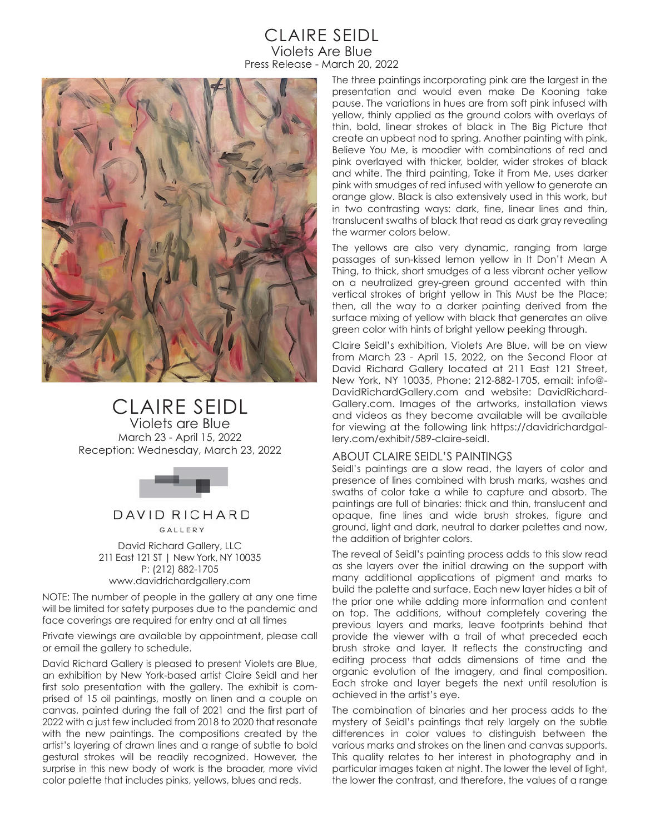## CLAIRE SEIDL Violets Are Blue Press Release - March 20, 2022



## CLAIRE SEIDL Violets are Blue March 23 - April 15, 2022 Reception: Wednesday, March 23, 2022



DAVID RICHARD GALLERY

David Richard Gallery, LLC 211 East 121 ST | New York, NY 10035 P: (212) 882-1705 www.davidrichardgallery.com

NOTE: The number of people in the gallery at any one time will be limited for safety purposes due to the pandemic and face coverings are required for entry and at all times

Private viewings are available by appointment, please call or email the gallery to schedule.

David Richard Gallery is pleased to present Violets are Blue, an exhibition by New York-based artist Claire Seidl and her first solo presentation with the gallery. The exhibit is comprised of 15 oil paintings, mostly on linen and a couple on canvas, painted during the fall of 2021 and the first part of 2022 with a just few included from 2018 to 2020 that resonate with the new paintings. The compositions created by the artist's layering of drawn lines and a range of subtle to bold gestural strokes will be readily recognized. However, the surprise in this new body of work is the broader, more vivid color palette that includes pinks, yellows, blues and reds.

The three paintings incorporating pink are the largest in the presentation and would even make De Kooning take pause. The variations in hues are from soft pink infused with yellow, thinly applied as the ground colors with overlays of thin, bold, linear strokes of black in The Big Picture that create an upbeat nod to spring. Another painting with pink, Believe You Me, is moodier with combinations of red and pink overlayed with thicker, bolder, wider strokes of black and white. The third painting, Take it From Me, uses darker pink with smudges of red infused with yellow to generate an orange glow. Black is also extensively used in this work, but in two contrasting ways: dark, fine, linear lines and thin, translucent swaths of black that read as dark gray revealing the warmer colors below.

The yellows are also very dynamic, ranging from large passages of sun-kissed lemon yellow in It Don't Mean A Thing, to thick, short smudges of a less vibrant ocher yellow on a neutralized grey-green ground accented with thin vertical strokes of bright yellow in This Must be the Place; then, all the way to a darker painting derived from the surface mixing of yellow with black that generates an olive green color with hints of bright yellow peeking through.

Claire Seidl's exhibition, Violets Are Blue, will be on view from March 23 - April 15, 2022, on the Second Floor at David Richard Gallery located at 211 East 121 Street, New York, NY 10035, Phone: 212-882-1705, email: info@- DavidRichardGallery.com and website: DavidRichard-Gallery.com. Images of the artworks, installation views and videos as they become available will be available for viewing at the following link https://davidrichardgallery.com/exhibit/589-claire-seidl.

### ABOUT CLAIRE SEIDL'S PAINTINGS

Seidl's paintings are a slow read, the layers of color and presence of lines combined with brush marks, washes and swaths of color take a while to capture and absorb. The paintings are full of binaries: thick and thin, translucent and opaque, fine lines and wide brush strokes, figure and ground, light and dark, neutral to darker palettes and now, the addition of brighter colors.

The reveal of Seidl's painting process adds to this slow read as she layers over the initial drawing on the support with many additional applications of pigment and marks to build the palette and surface. Each new layer hides a bit of the prior one while adding more information and content on top. The additions, without completely covering the previous layers and marks, leave footprints behind that provide the viewer with a trail of what preceded each brush stroke and layer. It reflects the constructing and editing process that adds dimensions of time and the organic evolution of the imagery, and final composition. Each stroke and layer begets the next until resolution is achieved in the artist's eye.

The combination of binaries and her process adds to the mystery of Seidl's paintings that rely largely on the subtle differences in color values to distinguish between the various marks and strokes on the linen and canvas supports. This quality relates to her interest in photography and in particular images taken at night. The lower the level of light, the lower the contrast, and therefore, the values of a range